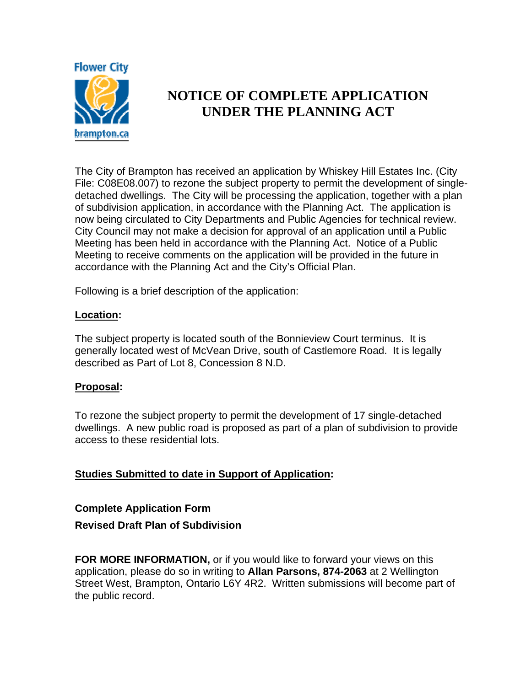

# **NOTICE OF COMPLETE APPLICATION UNDER THE PLANNING ACT**

The City of Brampton has received an application by Whiskey Hill Estates Inc. (City File: C08E08.007) to rezone the subject property to permit the development of singledetached dwellings. The City will be processing the application, together with a plan of subdivision application, in accordance with the Planning Act. The application is now being circulated to City Departments and Public Agencies for technical review. City Council may not make a decision for approval of an application until a Public Meeting has been held in accordance with the Planning Act. Notice of a Public Meeting to receive comments on the application will be provided in the future in accordance with the Planning Act and the City's Official Plan.

Following is a brief description of the application:

## **Location:**

The subject property is located south of the Bonnieview Court terminus. It is generally located west of McVean Drive, south of Castlemore Road. It is legally described as Part of Lot 8, Concession 8 N.D.

## **Proposal:**

To rezone the subject property to permit the development of 17 single-detached dwellings. A new public road is proposed as part of a plan of subdivision to provide access to these residential lots.

## **Studies Submitted to date in Support of Application:**

## **Complete Application Form**

## **Revised Draft Plan of Subdivision**

**FOR MORE INFORMATION,** or if you would like to forward your views on this application, please do so in writing to **Allan Parsons, 874-2063** at 2 Wellington Street West, Brampton, Ontario L6Y 4R2. Written submissions will become part of the public record.